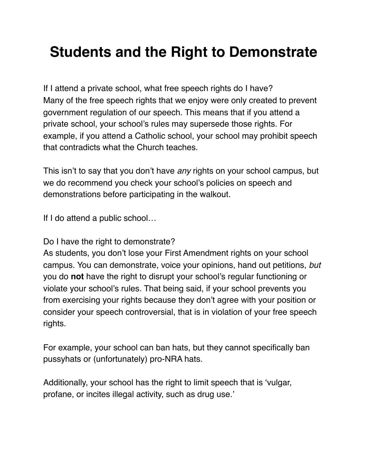## **Students and the Right to Demonstrate**

If I attend a private school, what free speech rights do I have? Many of the free speech rights that we enjoy were only created to prevent government regulation of our speech. This means that if you attend a private school, your school's rules may supersede those rights. For example, if you attend a Catholic school, your school may prohibit speech that contradicts what the Church teaches.

This isn't to say that you don't have *any* rights on your school campus, but we do recommend you check your school's policies on speech and demonstrations before participating in the walkout.

If I do attend a public school…

Do I have the right to demonstrate?

As students, you don't lose your First Amendment rights on your school campus. You can demonstrate, voice your opinions, hand out petitions, *but* you do **not** have the right to disrupt your school's regular functioning or violate your school's rules. That being said, if your school prevents you from exercising your rights because they don't agree with your position or consider your speech controversial, that is in violation of your free speech rights.

For example, your school can ban hats, but they cannot specifically ban pussyhats or (unfortunately) pro-NRA hats.

Additionally, your school has the right to limit speech that is 'vulgar, profane, or incites illegal activity, such as drug use.'